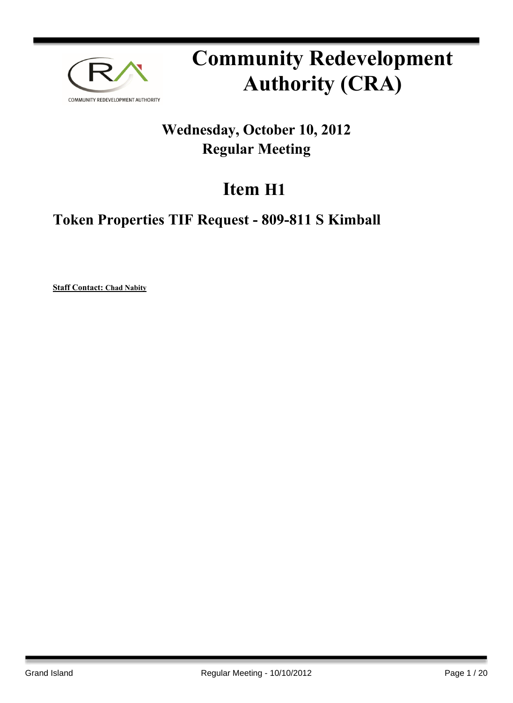

# **Community Redevelopment Authority (CRA)**

# **Wednesday, October 10, 2012 Regular Meeting**

# **Item H1**

# **Token Properties TIF Request - 809-811 S Kimball**

**Staff Contact: Chad Nabity**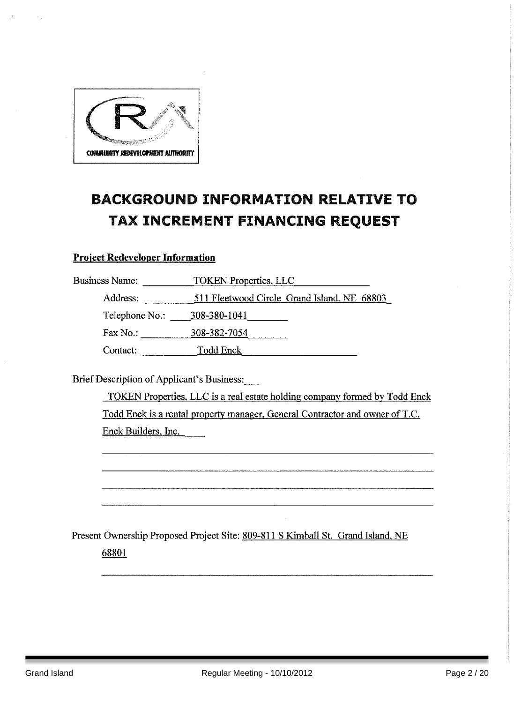

# **BACKGROUND INFORMATION RELATIVE TO** TAX INCREMENT FINANCING REQUEST

#### **Project Redeveloper Information**

| <b>Business Name:</b> | <b>TOKEN Properties, LLC</b>                |  |  |
|-----------------------|---------------------------------------------|--|--|
| Address:              | 511 Fleetwood Circle Grand Island, NE 68803 |  |  |
| Telephone No.:        | 308-380-1041                                |  |  |
| Fax No.:              | 308-382-7054                                |  |  |
| Contact:              | Todd Enck                                   |  |  |

Brief Description of Applicant's Business:

TOKEN Properties, LLC is a real estate holding company formed by Todd Enck Todd Enck is a rental property manager, General Contractor and owner of T.C. Enck Builders, Inc.

Present Ownership Proposed Project Site: 809-811 S Kimball St. Grand Island, NE 68801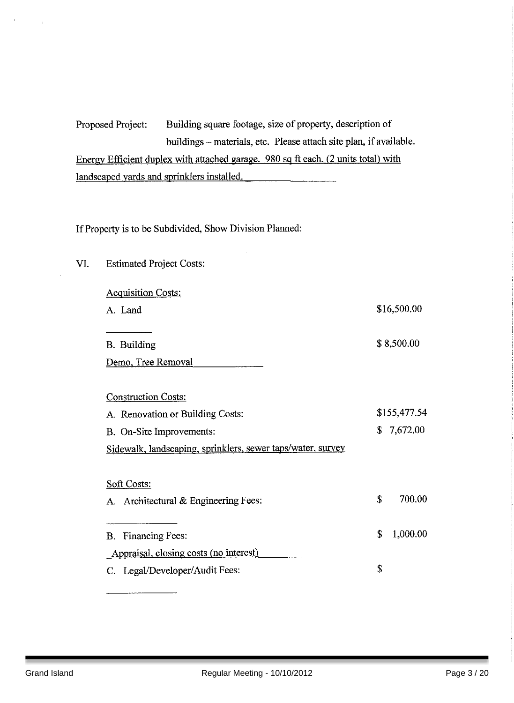Building square footage, size of property, description of Proposed Project: buildings - materials, etc. Please attach site plan, if available. Energy Efficient duplex with attached garage. 980 sq ft each. (2 units total) with landscaped yards and sprinklers installed.

If Property is to be Subdivided, Show Division Planned:

VI. **Estimated Project Costs: Acquisition Costs:** \$16,500.00 A. Land \$8,500.00 **B.** Building Demo, Tree Removal **Construction Costs:** A. Renovation or Building Costs: \$155,477.54  $$7,672.00$ B. On-Site Improvements: Sidewalk, landscaping, sprinklers, sewer taps/water, survey Soft Costs: Š. 700.00 A. Architectural & Engineering Fees: 1,000.00  $\mathbf S$ **B.** Financing Fees: Appraisal, closing costs (no interest) \$ C. Legal/Developer/Audit Fees: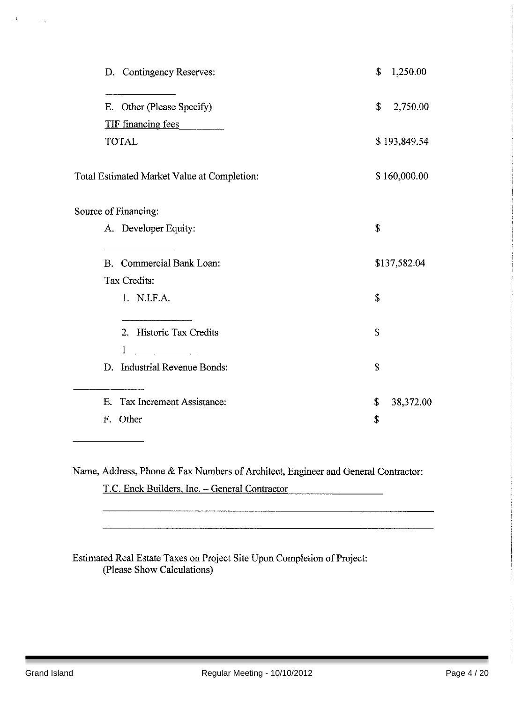| D. Contingency Reserves:                    | \$<br>1,250.00  |
|---------------------------------------------|-----------------|
| E. Other (Please Specify)                   | \$<br>2,750.00  |
| <b>TIF</b> financing fees                   |                 |
| <b>TOTAL</b>                                | \$193,849.54    |
| Total Estimated Market Value at Completion: | \$160,000.00    |
| Source of Financing:                        |                 |
| A. Developer Equity:                        | \$              |
| B. Commercial Bank Loan:                    | \$137,582.04    |
| Tax Credits:                                |                 |
| 1. N.I.F.A.                                 | \$              |
| 2. Historic Tax Credits<br>1                | \$              |
| D. Industrial Revenue Bonds:                | \$              |
| E. Tax Increment Assistance:                | \$<br>38,372.00 |
| F. Other                                    | \$              |

Name, Address, Phone & Fax Numbers of Architect, Engineer and General Contractor:

T.C. Enck Builders, Inc. - General Contractor

Estimated Real Estate Taxes on Project Site Upon Completion of Project: (Please Show Calculations)

 $\frac{1}{2}$  .

 $\sim$   $_{\star}$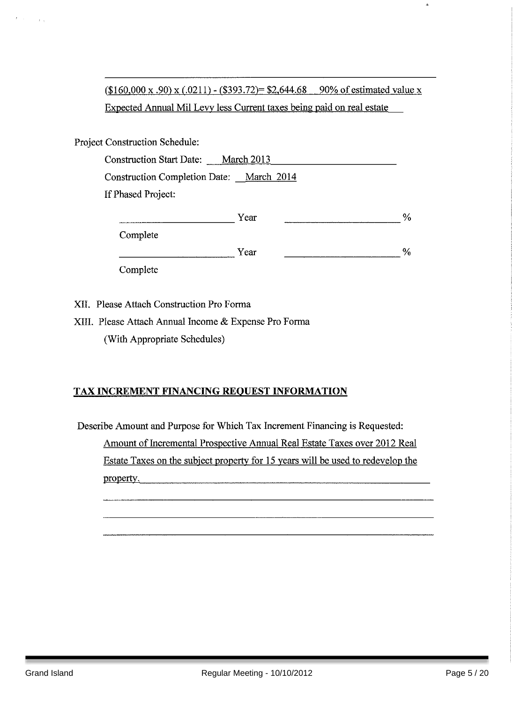$($160,000 \times .90) \times (.0211) - ($393.72) = $2,644.68$  90% of estimated value x Expected Annual Mil Levy less Current taxes being paid on real estate

Project Construction Schedule:

 $\sim$   $\sim$ 

| <b>Construction Start Date:</b>          | <b>March 2013</b> |               |
|------------------------------------------|-------------------|---------------|
| Construction Completion Date: March 2014 |                   |               |
| If Phased Project:                       |                   |               |
|                                          | Year              | $\frac{0}{c}$ |
| Complete                                 |                   |               |
|                                          | Year              | $\%$          |

Complete

XII. Please Attach Construction Pro Forma

XIII. Please Attach Annual Income & Expense Pro Forma (With Appropriate Schedules)

#### TAX INCREMENT FINANCING REQUEST INFORMATION

Describe Amount and Purpose for Which Tax Increment Financing is Requested: Amount of Incremental Prospective Annual Real Estate Taxes over 2012 Real Estate Taxes on the subject property for 15 years will be used to redevelop the property.

 $\hat{\mathbf{x}}$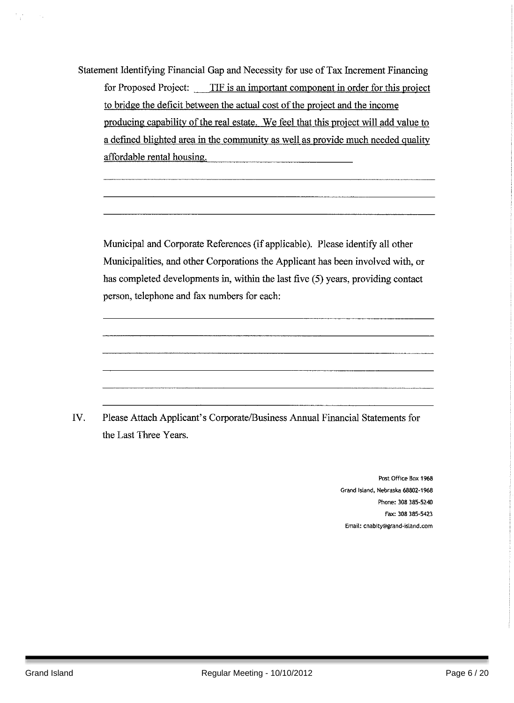Statement Identifying Financial Gap and Necessity for use of Tax Increment Financing for Proposed Project: TIF is an important component in order for this project to bridge the deficit between the actual cost of the project and the income producing capability of the real estate. We feel that this project will add value to a defined blighted area in the community as well as provide much needed quality affordable rental housing.

Municipal and Corporate References (if applicable). Please identify all other Municipalities, and other Corporations the Applicant has been involved with, or has completed developments in, within the last five (5) years, providing contact person, telephone and fax numbers for each:

IV. Please Attach Applicant's Corporate/Business Annual Financial Statements for the Last Three Years.

> Post Office Box 1968 Grand Island, Nebraska 68802-1968 Phone: 308 385-5240 Fax: 308 385-5423 Email: cnabity@grand-island.com

 $\sim$  ,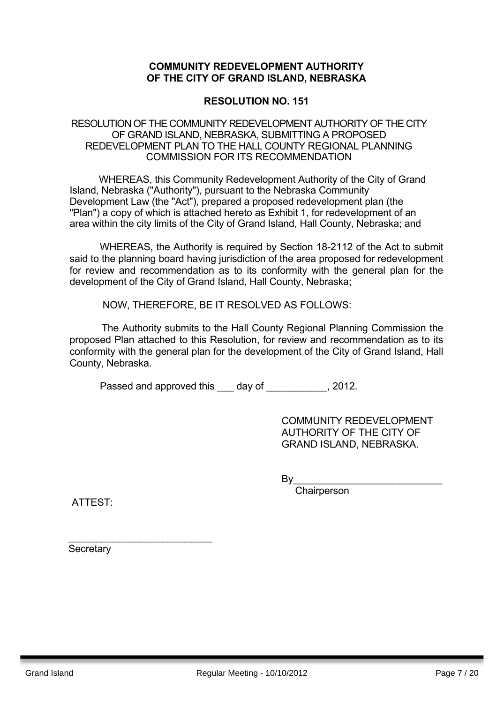#### **COMMUNITY REDEVELOPMENT AUTHORITY OF THE CITY OF GRAND ISLAND, NEBRASKA**

#### **RESOLUTION NO. 151**

#### RESOLUTION OF THE COMMUNITY REDEVELOPMENT AUTHORITY OF THE CITY OF GRAND ISLAND, NEBRASKA, SUBMITTING A PROPOSED REDEVELOPMENT PLAN TO THE HALL COUNTY REGIONAL PLANNING COMMISSION FOR ITS RECOMMENDATION

WHEREAS, this Community Redevelopment Authority of the City of Grand Island, Nebraska ("Authority"), pursuant to the Nebraska Community Development Law (the "Act"), prepared a proposed redevelopment plan (the "Plan") a copy of which is attached hereto as Exhibit 1, for redevelopment of an area within the city limits of the City of Grand Island, Hall County, Nebraska; and

WHEREAS, the Authority is required by Section 18-2112 of the Act to submit said to the planning board having jurisdiction of the area proposed for redevelopment for review and recommendation as to its conformity with the general plan for the development of the City of Grand Island, Hall County, Nebraska;

NOW, THEREFORE, BE IT RESOLVED AS FOLLOWS:

The Authority submits to the Hall County Regional Planning Commission the proposed Plan attached to this Resolution, for review and recommendation as to its conformity with the general plan for the development of the City of Grand Island, Hall County, Nebraska.

Passed and approved this day of the set of the set of the set of the set of the set of the Passed and Passed and Passed and Passed and Passed and Passed and Passed and Passed and Passed and Passed and Passed and Passed and

COMMUNITY REDEVELOPMENT AUTHORITY OF THE CITY OF GRAND ISLAND, NEBRASKA.

 $By_$ 

**Chairperson** 

ATTEST:

**Secretary** 

\_\_\_\_\_\_\_\_\_\_\_\_\_\_\_\_\_\_\_\_\_\_\_\_\_\_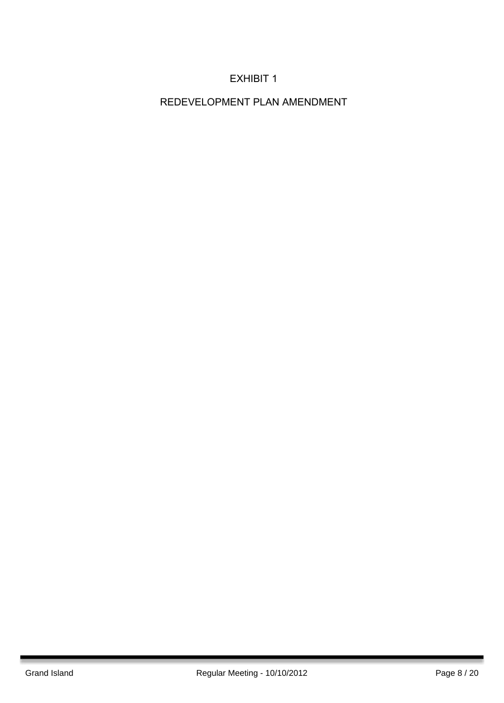## EXHIBIT 1

REDEVELOPMENT PLAN AMENDMENT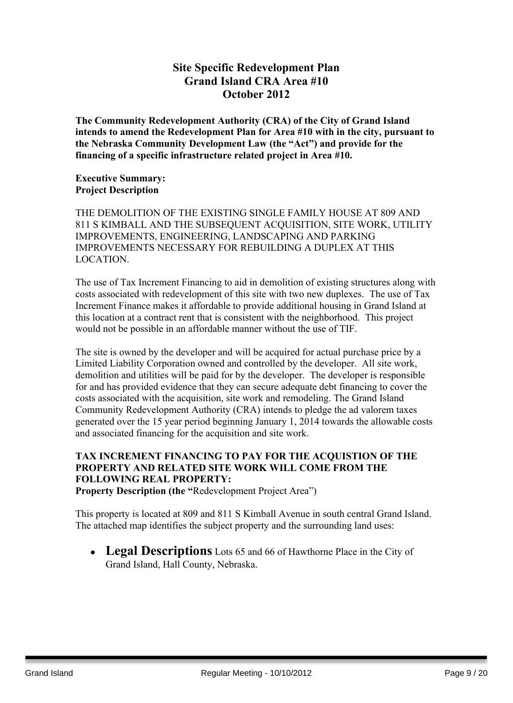### **Site Specific Redevelopment Plan Grand Island CRA Area #10 October 2012**

**The Community Redevelopment Authority (CRA) of the City of Grand Island intends to amend the Redevelopment Plan for Area #10 with in the city, pursuant to the Nebraska Community Development Law (the "Act") and provide for the financing of a specific infrastructure related project in Area #10.**

#### **Executive Summary: Project Description**

THE DEMOLITION OF THE EXISTING SINGLE FAMILY HOUSE AT 809 AND 811 S KIMBALL AND THE SUBSEQUENT ACQUISITION, SITE WORK, UTILITY IMPROVEMENTS, ENGINEERING, LANDSCAPING AND PARKING IMPROVEMENTS NECESSARY FOR REBUILDING A DUPLEX AT THIS LOCATION.

The use of Tax Increment Financing to aid in demolition of existing structures along with costs associated with redevelopment of this site with two new duplexes. The use of Tax Increment Finance makes it affordable to provide additional housing in Grand Island at this location at a contract rent that is consistent with the neighborhood. This project would not be possible in an affordable manner without the use of TIF.

The site is owned by the developer and will be acquired for actual purchase price by a Limited Liability Corporation owned and controlled by the developer. All site work, demolition and utilities will be paid for by the developer. The developer is responsible for and has provided evidence that they can secure adequate debt financing to cover the costs associated with the acquisition, site work and remodeling. The Grand Island Community Redevelopment Authority (CRA) intends to pledge the ad valorem taxes generated over the 15 year period beginning January 1, 2014 towards the allowable costs and associated financing for the acquisition and site work.

## **TAX INCREMENT FINANCING TO PAY FOR THE ACQUISTION OF THE PROPERTY AND RELATED SITE WORK WILL COME FROM THE FOLLOWING REAL PROPERTY:**

**Property Description (the "**Redevelopment Project Area")

This property is located at 809 and 811 S Kimball Avenue in south central Grand Island. The attached map identifies the subject property and the surrounding land uses:

• **Legal Descriptions** Lots 65 and 66 of Hawthorne Place in the City of Grand Island, Hall County, Nebraska.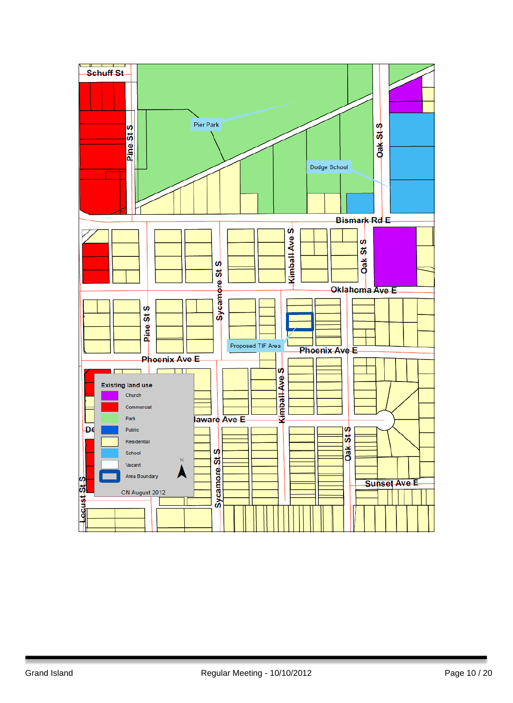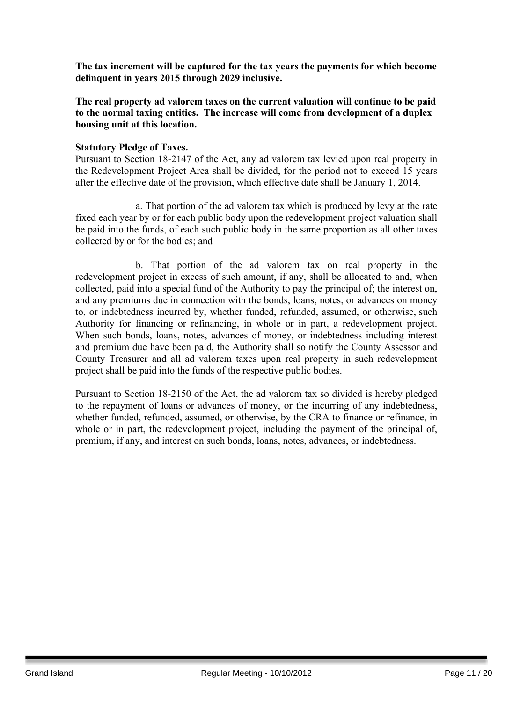**The tax increment will be captured for the tax years the payments for which become delinquent in years 2015 through 2029 inclusive.**

**The real property ad valorem taxes on the current valuation will continue to be paid to the normal taxing entities. The increase will come from development of a duplex housing unit at this location.**

#### **Statutory Pledge of Taxes.**

Pursuant to Section 18-2147 of the Act, any ad valorem tax levied upon real property in the Redevelopment Project Area shall be divided, for the period not to exceed 15 years after the effective date of the provision, which effective date shall be January 1, 2014.

a. That portion of the ad valorem tax which is produced by levy at the rate fixed each year by or for each public body upon the redevelopment project valuation shall be paid into the funds, of each such public body in the same proportion as all other taxes collected by or for the bodies; and

b. That portion of the ad valorem tax on real property in the redevelopment project in excess of such amount, if any, shall be allocated to and, when collected, paid into a special fund of the Authority to pay the principal of; the interest on, and any premiums due in connection with the bonds, loans, notes, or advances on money to, or indebtedness incurred by, whether funded, refunded, assumed, or otherwise, such Authority for financing or refinancing, in whole or in part, a redevelopment project. When such bonds, loans, notes, advances of money, or indebtedness including interest and premium due have been paid, the Authority shall so notify the County Assessor and County Treasurer and all ad valorem taxes upon real property in such redevelopment project shall be paid into the funds of the respective public bodies.

Pursuant to Section 18-2150 of the Act, the ad valorem tax so divided is hereby pledged to the repayment of loans or advances of money, or the incurring of any indebtedness, whether funded, refunded, assumed, or otherwise, by the CRA to finance or refinance, in whole or in part, the redevelopment project, including the payment of the principal of, premium, if any, and interest on such bonds, loans, notes, advances, or indebtedness.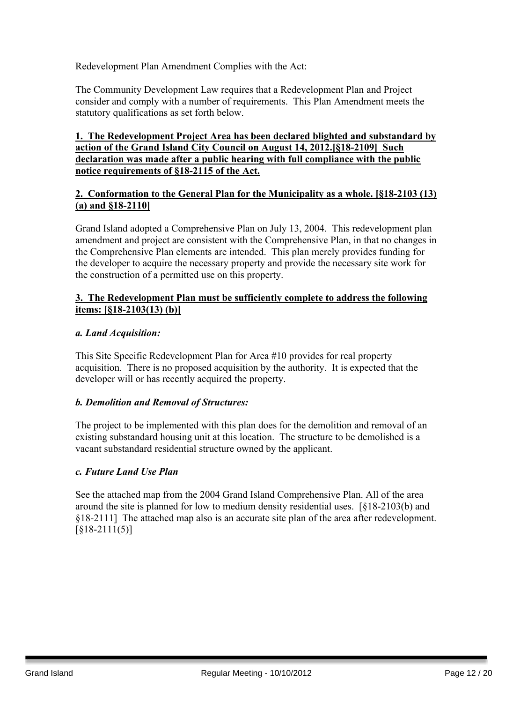Redevelopment Plan Amendment Complies with the Act:

The Community Development Law requires that a Redevelopment Plan and Project consider and comply with a number of requirements. This Plan Amendment meets the statutory qualifications as set forth below.

#### **1. The Redevelopment Project Area has been declared blighted and substandard by action of the Grand Island City Council on August 14, 2012.[§18-2109] Such declaration was made after a public hearing with full compliance with the public notice requirements of §18-2115 of the Act.**

#### **2. Conformation to the General Plan for the Municipality as a whole. [§18-2103 (13) (a) and §18-2110]**

Grand Island adopted a Comprehensive Plan on July 13, 2004. This redevelopment plan amendment and project are consistent with the Comprehensive Plan, in that no changes in the Comprehensive Plan elements are intended. This plan merely provides funding for the developer to acquire the necessary property and provide the necessary site work for the construction of a permitted use on this property.

#### **3. The Redevelopment Plan must be sufficiently complete to address the following items: [§18-2103(13) (b)]**

#### *a. Land Acquisition:*

This Site Specific Redevelopment Plan for Area #10 provides for real property acquisition. There is no proposed acquisition by the authority. It is expected that the developer will or has recently acquired the property.

#### *b. Demolition and Removal of Structures:*

The project to be implemented with this plan does for the demolition and removal of an existing substandard housing unit at this location. The structure to be demolished is a vacant substandard residential structure owned by the applicant.

#### *c. Future Land Use Plan*

See the attached map from the 2004 Grand Island Comprehensive Plan. All of the area around the site is planned for low to medium density residential uses. [§18-2103(b) and §18-2111] The attached map also is an accurate site plan of the area after redevelopment. [§18-2111(5)]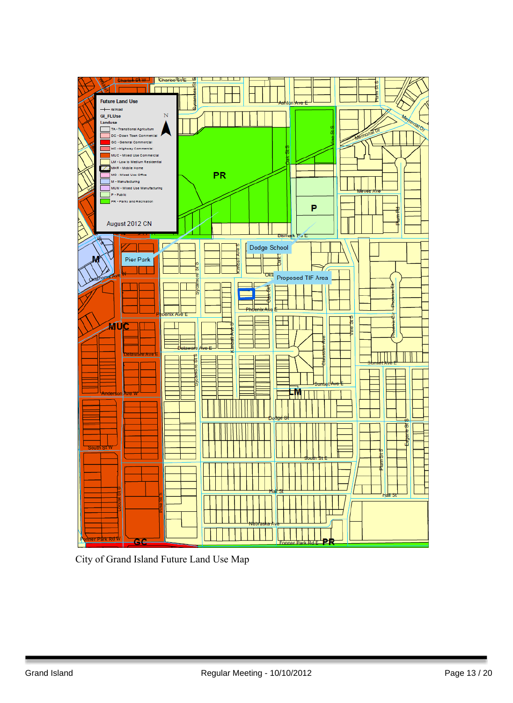

City of Grand Island Future Land Use Map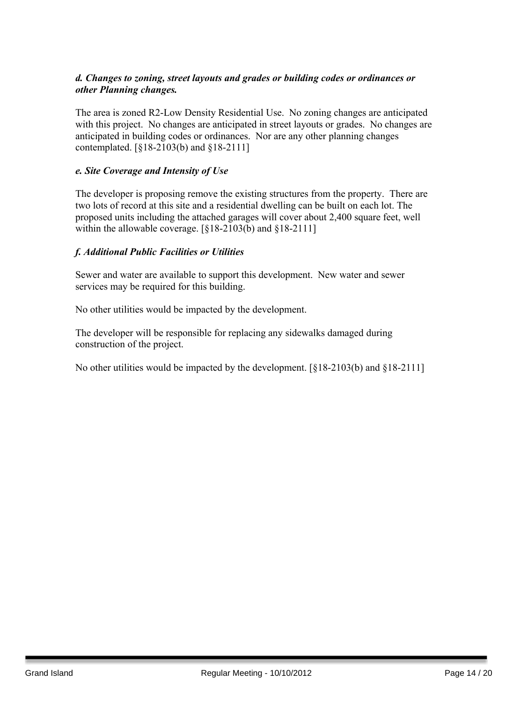#### *d. Changes to zoning, street layouts and grades or building codes or ordinances or other Planning changes.*

The area is zoned R2-Low Density Residential Use. No zoning changes are anticipated with this project. No changes are anticipated in street layouts or grades. No changes are anticipated in building codes or ordinances. Nor are any other planning changes contemplated. [§18-2103(b) and §18-2111]

#### *e. Site Coverage and Intensity of Use*

The developer is proposing remove the existing structures from the property. There are two lots of record at this site and a residential dwelling can be built on each lot. The proposed units including the attached garages will cover about 2,400 square feet, well within the allowable coverage. [§18-2103(b) and §18-2111]

#### *f. Additional Public Facilities or Utilities*

Sewer and water are available to support this development. New water and sewer services may be required for this building.

No other utilities would be impacted by the development.

The developer will be responsible for replacing any sidewalks damaged during construction of the project.

No other utilities would be impacted by the development. [§18-2103(b) and §18-2111]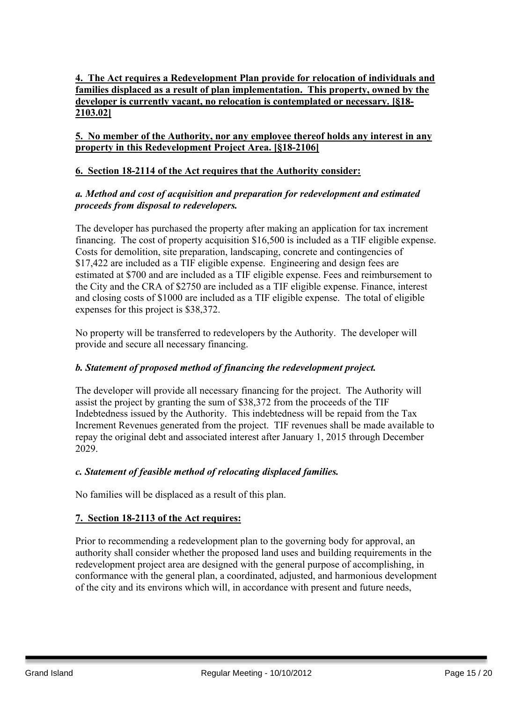#### **4. The Act requires a Redevelopment Plan provide for relocation of individuals and families displaced as a result of plan implementation. This property, owned by the developer is currently vacant, no relocation is contemplated or necessary. [§18- 2103.02]**

#### **5. No member of the Authority, nor any employee thereof holds any interest in any property in this Redevelopment Project Area. [§18-2106]**

#### **6. Section 18-2114 of the Act requires that the Authority consider:**

#### *a. Method and cost of acquisition and preparation for redevelopment and estimated proceeds from disposal to redevelopers.*

The developer has purchased the property after making an application for tax increment financing. The cost of property acquisition \$16,500 is included as a TIF eligible expense. Costs for demolition, site preparation, landscaping, concrete and contingencies of \$17,422 are included as a TIF eligible expense. Engineering and design fees are estimated at \$700 and are included as a TIF eligible expense. Fees and reimbursement to the City and the CRA of \$2750 are included as a TIF eligible expense. Finance, interest and closing costs of \$1000 are included as a TIF eligible expense. The total of eligible expenses for this project is \$38,372.

No property will be transferred to redevelopers by the Authority. The developer will provide and secure all necessary financing.

#### *b. Statement of proposed method of financing the redevelopment project.*

The developer will provide all necessary financing for the project. The Authority will assist the project by granting the sum of \$38,372 from the proceeds of the TIF Indebtedness issued by the Authority. This indebtedness will be repaid from the Tax Increment Revenues generated from the project. TIF revenues shall be made available to repay the original debt and associated interest after January 1, 2015 through December 2029.

#### *c. Statement of feasible method of relocating displaced families.*

No families will be displaced as a result of this plan.

#### **7. Section 18-2113 of the Act requires:**

Prior to recommending a redevelopment plan to the governing body for approval, an authority shall consider whether the proposed land uses and building requirements in the redevelopment project area are designed with the general purpose of accomplishing, in conformance with the general plan, a coordinated, adjusted, and harmonious development of the city and its environs which will, in accordance with present and future needs,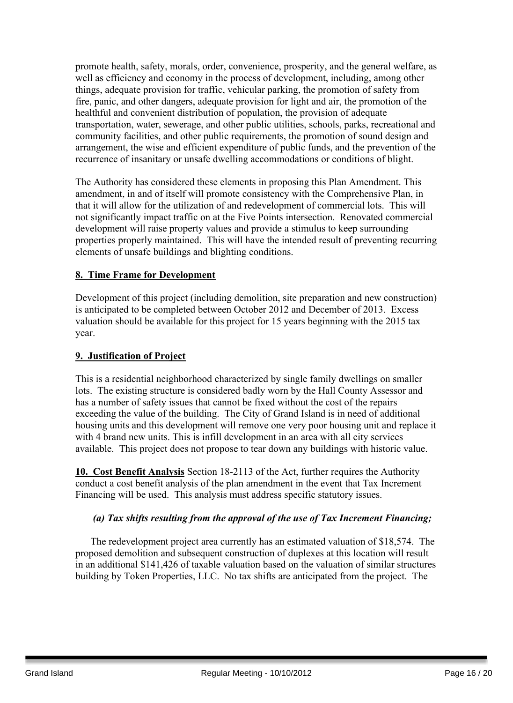promote health, safety, morals, order, convenience, prosperity, and the general welfare, as well as efficiency and economy in the process of development, including, among other things, adequate provision for traffic, vehicular parking, the promotion of safety from fire, panic, and other dangers, adequate provision for light and air, the promotion of the healthful and convenient distribution of population, the provision of adequate transportation, water, sewerage, and other public utilities, schools, parks, recreational and community facilities, and other public requirements, the promotion of sound design and arrangement, the wise and efficient expenditure of public funds, and the prevention of the recurrence of insanitary or unsafe dwelling accommodations or conditions of blight.

The Authority has considered these elements in proposing this Plan Amendment. This amendment, in and of itself will promote consistency with the Comprehensive Plan, in that it will allow for the utilization of and redevelopment of commercial lots. This will not significantly impact traffic on at the Five Points intersection. Renovated commercial development will raise property values and provide a stimulus to keep surrounding properties properly maintained. This will have the intended result of preventing recurring elements of unsafe buildings and blighting conditions.

#### **8. Time Frame for Development**

Development of this project (including demolition, site preparation and new construction) is anticipated to be completed between October 2012 and December of 2013. Excess valuation should be available for this project for 15 years beginning with the 2015 tax year.

#### **9. Justification of Project**

This is a residential neighborhood characterized by single family dwellings on smaller lots. The existing structure is considered badly worn by the Hall County Assessor and has a number of safety issues that cannot be fixed without the cost of the repairs exceeding the value of the building. The City of Grand Island is in need of additional housing units and this development will remove one very poor housing unit and replace it with 4 brand new units. This is infill development in an area with all city services available. This project does not propose to tear down any buildings with historic value.

**10. Cost Benefit Analysis** Section 18-2113 of the Act, further requires the Authority conduct a cost benefit analysis of the plan amendment in the event that Tax Increment Financing will be used. This analysis must address specific statutory issues.

#### *(a) Tax shifts resulting from the approval of the use of Tax Increment Financing;*

The redevelopment project area currently has an estimated valuation of \$18,574. The proposed demolition and subsequent construction of duplexes at this location will result in an additional \$141,426 of taxable valuation based on the valuation of similar structures building by Token Properties, LLC. No tax shifts are anticipated from the project. The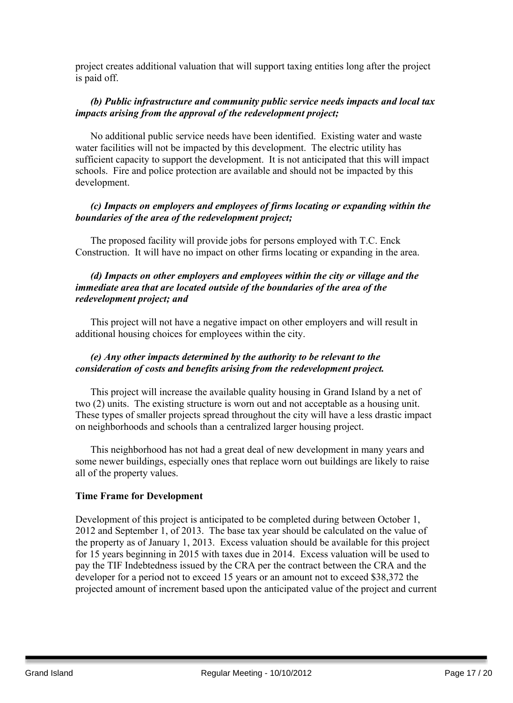project creates additional valuation that will support taxing entities long after the project is paid off.

#### *(b) Public infrastructure and community public service needs impacts and local tax impacts arising from the approval of the redevelopment project;*

No additional public service needs have been identified. Existing water and waste water facilities will not be impacted by this development. The electric utility has sufficient capacity to support the development. It is not anticipated that this will impact schools. Fire and police protection are available and should not be impacted by this development.

#### *(c) Impacts on employers and employees of firms locating or expanding within the boundaries of the area of the redevelopment project;*

The proposed facility will provide jobs for persons employed with T.C. Enck Construction. It will have no impact on other firms locating or expanding in the area.

#### *(d) Impacts on other employers and employees within the city or village and the immediate area that are located outside of the boundaries of the area of the redevelopment project; and*

This project will not have a negative impact on other employers and will result in additional housing choices for employees within the city.

#### *(e) Any other impacts determined by the authority to be relevant to the consideration of costs and benefits arising from the redevelopment project.*

This project will increase the available quality housing in Grand Island by a net of two (2) units. The existing structure is worn out and not acceptable as a housing unit. These types of smaller projects spread throughout the city will have a less drastic impact on neighborhoods and schools than a centralized larger housing project.

This neighborhood has not had a great deal of new development in many years and some newer buildings, especially ones that replace worn out buildings are likely to raise all of the property values.

#### **Time Frame for Development**

Development of this project is anticipated to be completed during between October 1, 2012 and September 1, of 2013. The base tax year should be calculated on the value of the property as of January 1, 2013. Excess valuation should be available for this project for 15 years beginning in 2015 with taxes due in 2014. Excess valuation will be used to pay the TIF Indebtedness issued by the CRA per the contract between the CRA and the developer for a period not to exceed 15 years or an amount not to exceed \$38,372 the projected amount of increment based upon the anticipated value of the project and current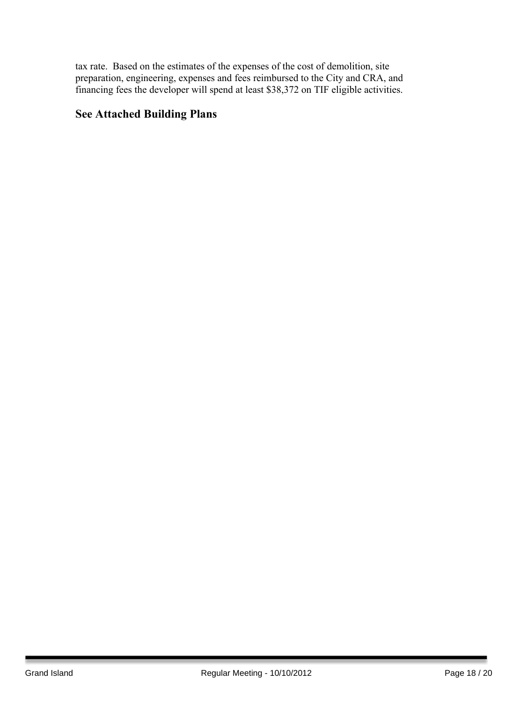tax rate. Based on the estimates of the expenses of the cost of demolition, site preparation, engineering, expenses and fees reimbursed to the City and CRA, and financing fees the developer will spend at least \$38,372 on TIF eligible activities.

### **See Attached Building Plans**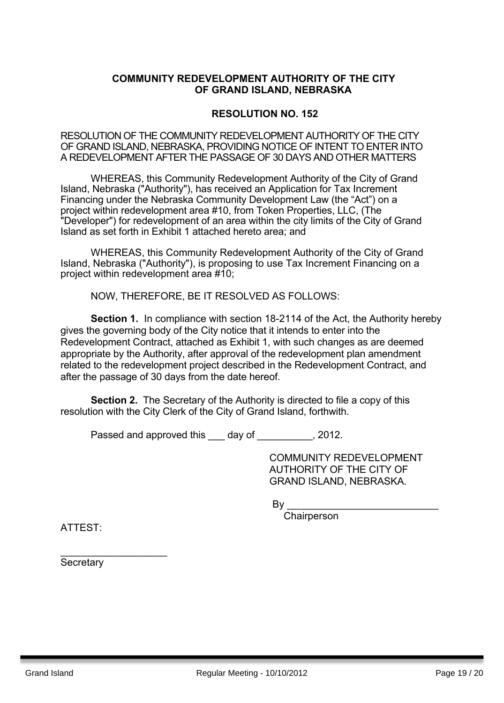#### **COMMUNITY REDEVELOPMENT AUTHORITY OF THE CITY OF GRAND ISLAND, NEBRASKA**

#### **RESOLUTION NO. 152**

RESOLUTION OF THE COMMUNITY REDEVELOPMENT AUTHORITY OF THE CITY OF GRAND ISLAND, NEBRASKA, PROVIDING NOTICE OF INTENT TO ENTER INTO A REDEVELOPMENT AFTER THE PASSAGE OF 30 DAYS AND OTHER MATTERS

WHEREAS, this Community Redevelopment Authority of the City of Grand Island, Nebraska ("Authority"), has received an Application for Tax Increment Financing under the Nebraska Community Development Law (the "Act") on a project within redevelopment area #10, from Token Properties, LLC, (The "Developer") for redevelopment of an area within the city limits of the City of Grand Island as set forth in Exhibit 1 attached hereto area; and

WHEREAS, this Community Redevelopment Authority of the City of Grand Island, Nebraska ("Authority"), is proposing to use Tax Increment Financing on a project within redevelopment area #10;

NOW, THEREFORE, BE IT RESOLVED AS FOLLOWS:

**Section 1.** In compliance with section 18-2114 of the Act, the Authority hereby gives the governing body of the City notice that it intends to enter into the Redevelopment Contract, attached as Exhibit 1, with such changes as are deemed appropriate by the Authority, after approval of the redevelopment plan amendment related to the redevelopment project described in the Redevelopment Contract, and after the passage of 30 days from the date hereof.

**Section 2.** The Secretary of the Authority is directed to file a copy of this resolution with the City Clerk of the City of Grand Island, forthwith.

Passed and approved this day of the set of the 2012.

COMMUNITY REDEVELOPMENT AUTHORITY OF THE CITY OF GRAND ISLAND, NEBRASKA.

 $\mathsf{By}$ 

**Chairperson** 

ATTEST:

**Secretary** 

 $\_$